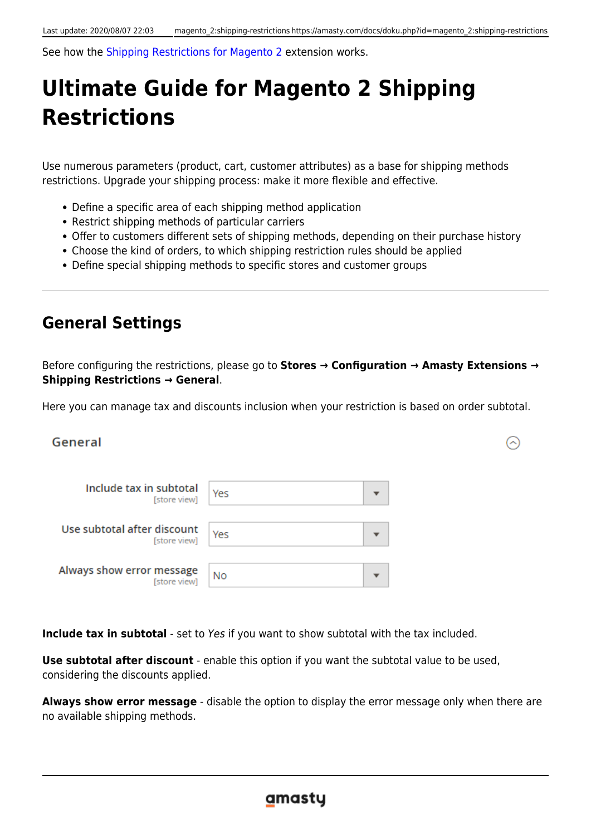See how the [Shipping Restrictions for Magento 2](https://amasty.com/shipping-restrictions-for-magento-2.html) extension works.

# **Ultimate Guide for Magento 2 Shipping Restrictions**

Use numerous parameters (product, cart, customer attributes) as a base for shipping methods restrictions. Upgrade your shipping process: make it more flexible and effective.

- Define a specific area of each shipping method application
- Restrict shipping methods of particular carriers
- Offer to customers different sets of shipping methods, depending on their purchase history
- Choose the kind of orders, to which shipping restriction rules should be applied
- Define special shipping methods to specific stores and customer groups

# **General Settings**

Before configuring the restrictions, please go to **Stores → Configuration → Amasty Extensions → Shipping Restrictions → General**.

Here you can manage tax and discounts inclusion when your restriction is based on order subtotal.

⋒

# General

| Include tax in subtotal<br>[store view]     | Yes |  |
|---------------------------------------------|-----|--|
| Use subtotal after discount<br>[store view] | Yes |  |
| Always show error message<br>[store view]   | No  |  |

**Include tax in subtotal** - set to Yes if you want to show subtotal with the tax included.

**Use subtotal after discount** - enable this option if you want the subtotal value to be used, considering the discounts applied.

**Always show error message** - disable the option to display the error message only when there are no available shipping methods.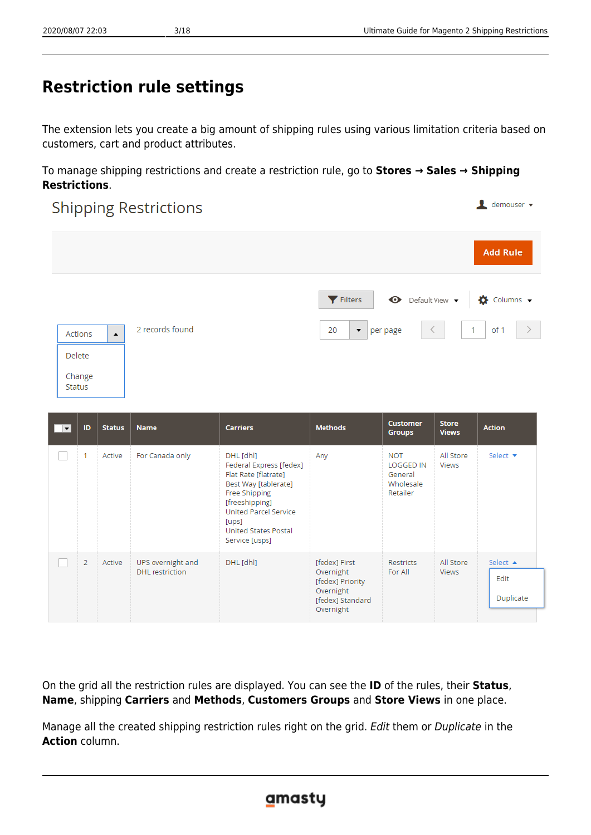# **Restriction rule settings**

The extension lets you create a big amount of shipping rules using various limitation criteria based on customers, cart and product attributes.

To manage shipping restrictions and create a restriction rule, go to **Stores → Sales → Shipping Restrictions**.

## $\blacksquare$  demouser  $\blacktriangleright$ **Shipping Restrictions Add Rule ←** Default View ▼  $\blacktriangleright$  Filters  $\bullet$  Columns  $\bullet$ 2 records found  $20$  $\bullet$  per page of 1  $\blacktriangle$ Actions Delete Change **Status**

| $\vert \mathbf{v} \vert$ | ID | <b>Status</b> | <b>Name</b>                                 | <b>Carriers</b>                                                                                                                                                                                            | <b>Methods</b>                                                                               | <b>Customer</b><br><b>Groups</b>                            | <b>Store</b><br><b>Views</b> | <b>Action</b>                 |
|--------------------------|----|---------------|---------------------------------------------|------------------------------------------------------------------------------------------------------------------------------------------------------------------------------------------------------------|----------------------------------------------------------------------------------------------|-------------------------------------------------------------|------------------------------|-------------------------------|
|                          |    | Active        | For Canada only                             | DHL [dhl]<br>Federal Express [fedex]<br>Flat Rate [flatrate]<br>Best Way [tablerate]<br>Free Shipping<br>[freeshipping]<br><b>United Parcel Service</b><br>[ups]<br>United States Postal<br>Service [usps] | Any                                                                                          | NOT<br><b>LOGGED IN</b><br>General<br>Wholesale<br>Retailer | All Store<br>Views           | Select $\blacktriangledown$   |
|                          | 2  | Active        | UPS overnight and<br><b>DHL</b> restriction | DHL [dhl]                                                                                                                                                                                                  | [fedex] First<br>Overnight<br>[fedex] Priority<br>Overnight<br>[fedex] Standard<br>Overnight | Restricts<br>For All                                        | All Store<br><b>Views</b>    | Select A<br>Edit<br>Duplicate |

On the grid all the restriction rules are displayed. You can see the **ID** of the rules, their **Status**, **Name**, shipping **Carriers** and **Methods**, **Customers Groups** and **Store Views** in one place.

Manage all the created shipping restriction rules right on the grid. Edit them or Duplicate in the **Action** column.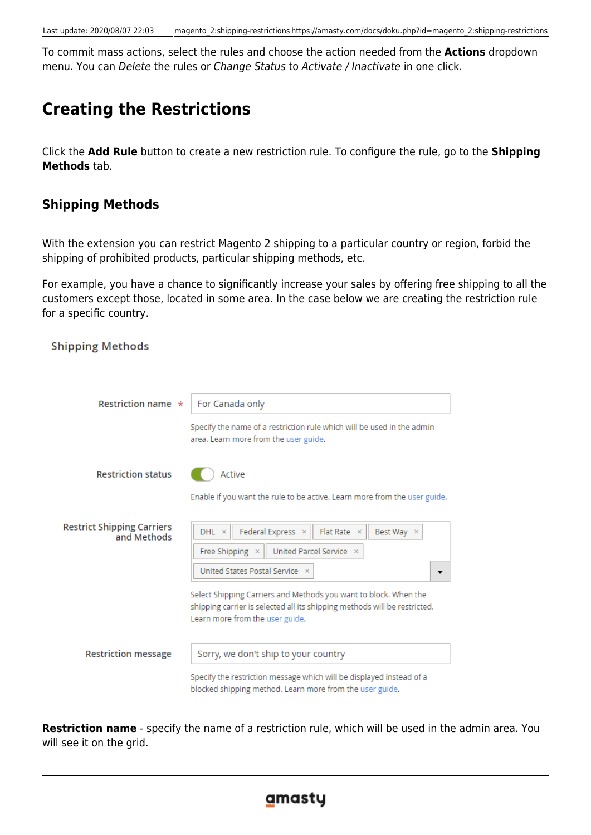To commit mass actions, select the rules and choose the action needed from the **Actions** dropdown menu. You can Delete the rules or Change Status to Activate / Inactivate in one click.

# **Creating the Restrictions**

Click the **Add Rule** button to create a new restriction rule. To configure the rule, go to the **Shipping Methods** tab.

# **Shipping Methods**

Chinning Mothode

With the extension you can restrict Magento 2 shipping to a particular country or region, forbid the shipping of prohibited products, particular shipping methods, etc.

For example, you have a chance to significantly increase your sales by offering free shipping to all the customers except those, located in some area. In the case below we are creating the restriction rule for a specific country.

| Restriction name $\star$                         | For Canada only                                                                                                                                                                  |
|--------------------------------------------------|----------------------------------------------------------------------------------------------------------------------------------------------------------------------------------|
|                                                  | Specify the name of a restriction rule which will be used in the admin<br>area. Learn more from the user guide.                                                                  |
| <b>Restriction status</b>                        | Active                                                                                                                                                                           |
|                                                  | Enable if you want the rule to be active. Learn more from the user guide.                                                                                                        |
| <b>Restrict Shipping Carriers</b><br>and Methods | Federal Express ×<br>Flat Rate $\times$<br>Best Way $\times$<br>DHL ×                                                                                                            |
|                                                  | United Parcel Service X<br>Free Shipping ×<br>United States Postal Service X                                                                                                     |
|                                                  | Select Shipping Carriers and Methods you want to block. When the<br>shipping carrier is selected all its shipping methods will be restricted.<br>Learn more from the user guide. |
| <b>Restriction message</b>                       | Sorry, we don't ship to your country                                                                                                                                             |
|                                                  | Specify the restriction message which will be displayed instead of a<br>blocked shipping method. Learn more from the user guide.                                                 |

**Restriction name** - specify the name of a restriction rule, which will be used in the admin area. You will see it on the grid.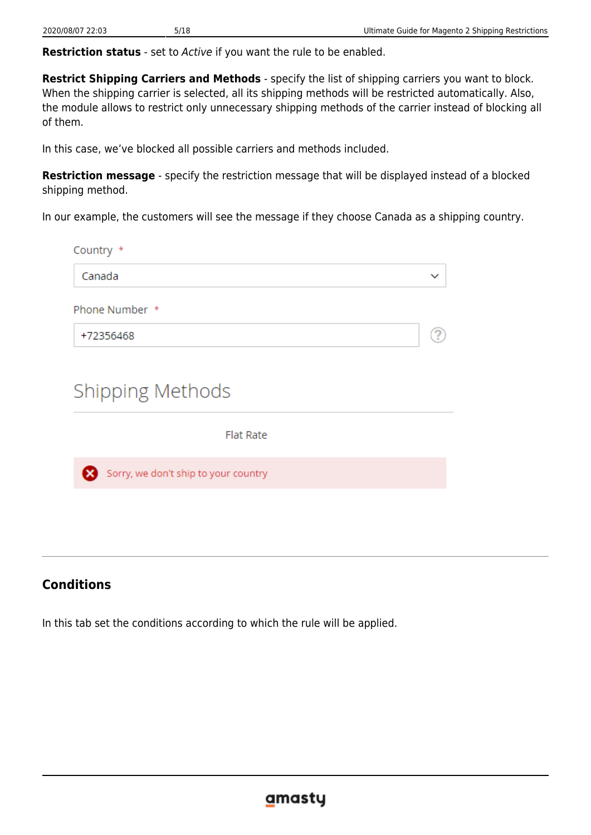**Restriction status** - set to Active if you want the rule to be enabled.

**Restrict Shipping Carriers and Methods** - specify the list of shipping carriers you want to block. When the shipping carrier is selected, all its shipping methods will be restricted automatically. Also, the module allows to restrict only unnecessary shipping methods of the carrier instead of blocking all of them.

In this case, we've blocked all possible carriers and methods included.

**Restriction message** - specify the restriction message that will be displayed instead of a blocked shipping method.

In our example, the customers will see the message if they choose Canada as a shipping country.

| Country *                            |             |
|--------------------------------------|-------------|
| Canada                               | $\check{ }$ |
| Phone Number *                       |             |
| +72356468                            |             |
| <b>Shipping Methods</b>              |             |
| <b>Flat Rate</b>                     |             |
| Sorry, we don't ship to your country |             |
|                                      |             |

# **Conditions**

In this tab set the conditions according to which the rule will be applied.

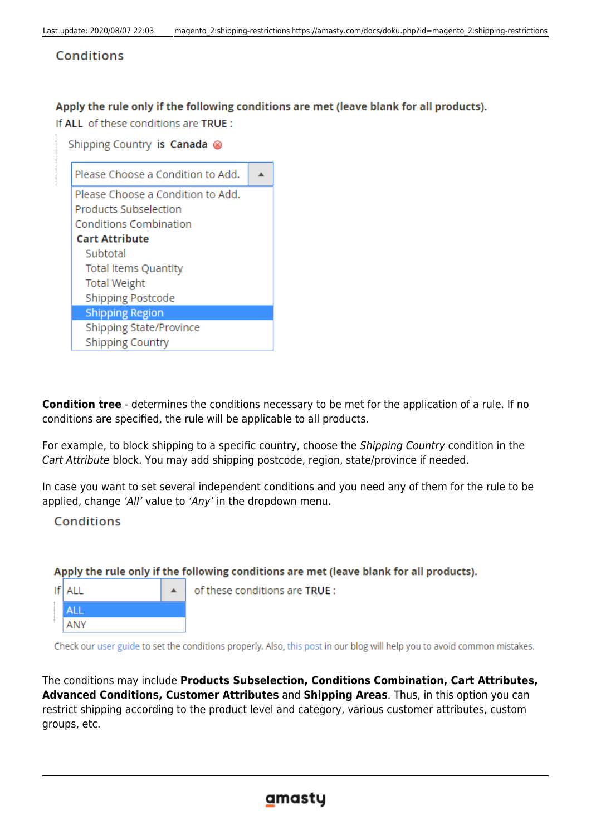# Conditions

## Apply the rule only if the following conditions are met (leave blank for all products).

If ALL of these conditions are TRUE:

| Shipping Country is Canada ⊗      |  |
|-----------------------------------|--|
| Please Choose a Condition to Add. |  |
| Please Choose a Condition to Add. |  |
| Products Subselection             |  |
| <b>Conditions Combination</b>     |  |
| <b>Cart Attribute</b>             |  |
| Subtotal                          |  |
| <b>Total Items Quantity</b>       |  |
| <b>Total Weight</b>               |  |
| <b>Shipping Postcode</b>          |  |
| <b>Shipping Region</b>            |  |
| Shipping State/Province           |  |
| <b>Shipping Country</b>           |  |

**Condition tree** - determines the conditions necessary to be met for the application of a rule. If no conditions are specified, the rule will be applicable to all products.

For example, to block shipping to a specific country, choose the Shipping Country condition in the Cart Attribute block. You may add shipping postcode, region, state/province if needed.

In case you want to set several independent conditions and you need any of them for the rule to be applied, change 'All' value to 'Any' in the dropdown menu.

**Conditions** 

# Apply the rule only if the following conditions are met (leave blank for all products).

 $If$  ALL **ALL** ANY

of these conditions are TRUE :

Check our user guide to set the conditions properly. Also, this post in our blog will help you to avoid common mistakes.

The conditions may include **Products Subselection, Conditions Combination, Cart Attributes, Advanced Conditions, Customer Attributes** and **Shipping Areas**. Thus, in this option you can restrict shipping according to the product level and category, various customer attributes, custom groups, etc.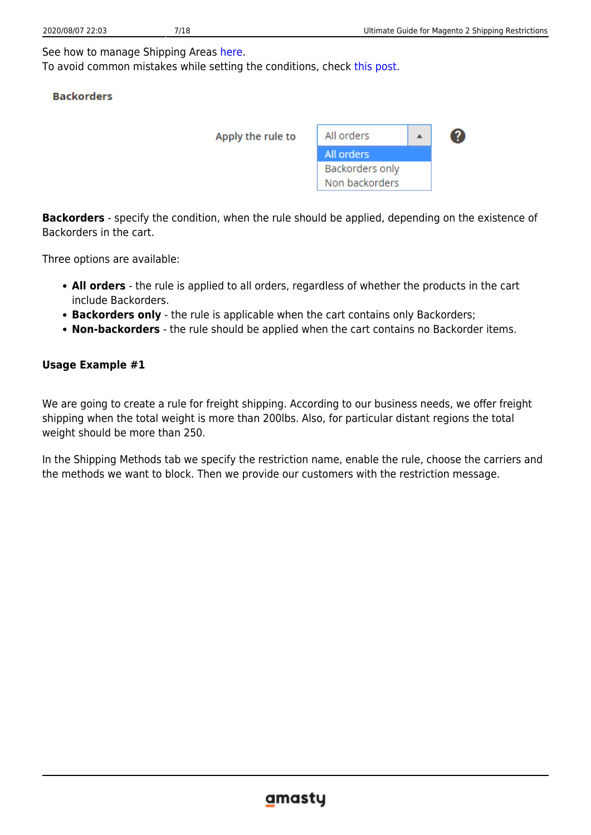See how to manage Shipping Areas [here](https://amasty.com/docs/doku.php?id=magento_2:shipping-restrictions#shipping_areas).

To avoid common mistakes while setting the conditions, check [this post.](https://amasty.com/blog/use-magento-rules-properly-common-mistakes-corrected/)

## **Backorders**

| Apply the rule to | All orders      |  |
|-------------------|-----------------|--|
|                   | All orders      |  |
|                   | Backorders only |  |
|                   | Non backorders  |  |

**Backorders** - specify the condition, when the rule should be applied, depending on the existence of Backorders in the cart.

Three options are available:

- **All orders** the rule is applied to all orders, regardless of whether the products in the cart include Backorders.
- **Backorders only** the rule is applicable when the cart contains only Backorders;
- **Non-backorders** the rule should be applied when the cart contains no Backorder items.

# **Usage Example #1**

We are going to create a rule for freight shipping. According to our business needs, we offer freight shipping when the total weight is more than 200lbs. Also, for particular distant regions the total weight should be more than 250.

In the Shipping Methods tab we specify the restriction name, enable the rule, choose the carriers and the methods we want to block. Then we provide our customers with the restriction message.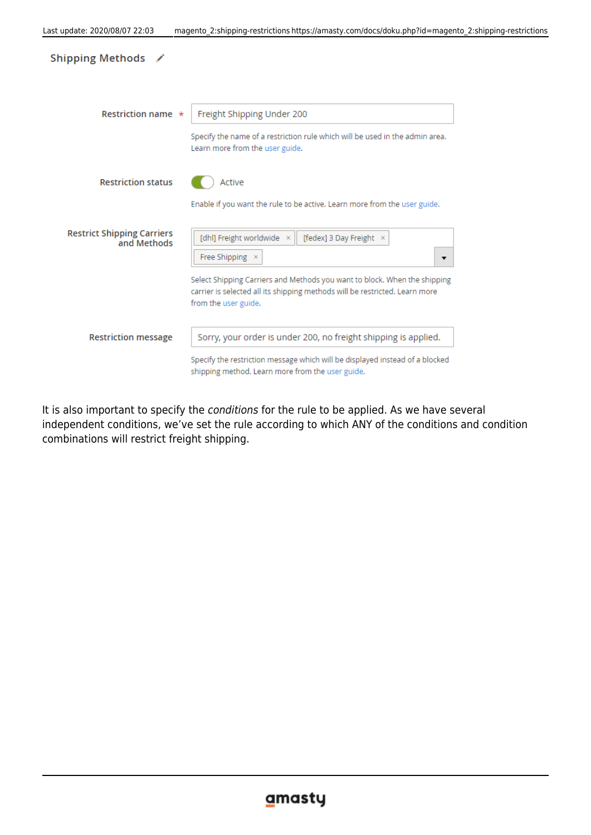| Shipping Methods /                               |                                                                                                                                                                                                                                                                  |
|--------------------------------------------------|------------------------------------------------------------------------------------------------------------------------------------------------------------------------------------------------------------------------------------------------------------------|
| Restriction name $\star$                         | Freight Shipping Under 200<br>Specify the name of a restriction rule which will be used in the admin area.<br>Learn more from the user guide.                                                                                                                    |
| <b>Restriction status</b>                        | Active<br>Enable if you want the rule to be active. Learn more from the user guide.                                                                                                                                                                              |
| <b>Restrict Shipping Carriers</b><br>and Methods | [dhl] Freight worldwide ×<br>[fedex] 3 Day Freight ×<br>Free Shipping ×<br>▼<br>Select Shipping Carriers and Methods you want to block. When the shipping<br>carrier is selected all its shipping methods will be restricted. Learn more<br>from the user guide. |
| <b>Restriction message</b>                       | Sorry, your order is under 200, no freight shipping is applied.<br>Specify the restriction message which will be displayed instead of a blocked<br>shipping method. Learn more from the user guide.                                                              |

It is also important to specify the conditions for the rule to be applied. As we have several independent conditions, we've set the rule according to which ANY of the conditions and condition combinations will restrict freight shipping.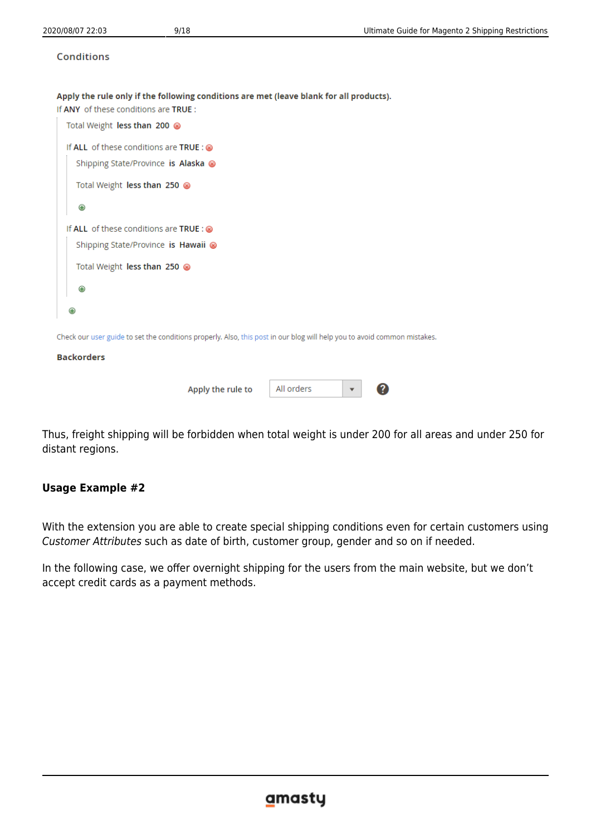### **Conditions**

Apply the rule only if the following conditions are met (leave blank for all products).

If ANY of these conditions are TRUE:

| Total Weight less than 200                                                                                               |            |
|--------------------------------------------------------------------------------------------------------------------------|------------|
| If ALL of these conditions are TRUE : $\otimes$<br>Shipping State/Province is Alaska ⊗                                   |            |
| Total Weight less than 250                                                                                               |            |
| ⊕                                                                                                                        |            |
| If ALL of these conditions are TRUE : @<br>Shipping State/Province is Hawaii @                                           |            |
| Total Weight less than 250 8                                                                                             |            |
| Θ                                                                                                                        |            |
| ⊕                                                                                                                        |            |
| Check our user guide to set the conditions properly. Also, this post in our blog will help you to avoid common mistakes. |            |
| <b>Backorders</b>                                                                                                        |            |
| Apply the rule to                                                                                                        | All orders |

Thus, freight shipping will be forbidden when total weight is under 200 for all areas and under 250 for distant regions.

# **Usage Example #2**

With the extension you are able to create special shipping conditions even for certain customers using Customer Attributes such as date of birth, customer group, gender and so on if needed.

In the following case, we offer overnight shipping for the users from the main website, but we don't accept credit cards as a payment methods.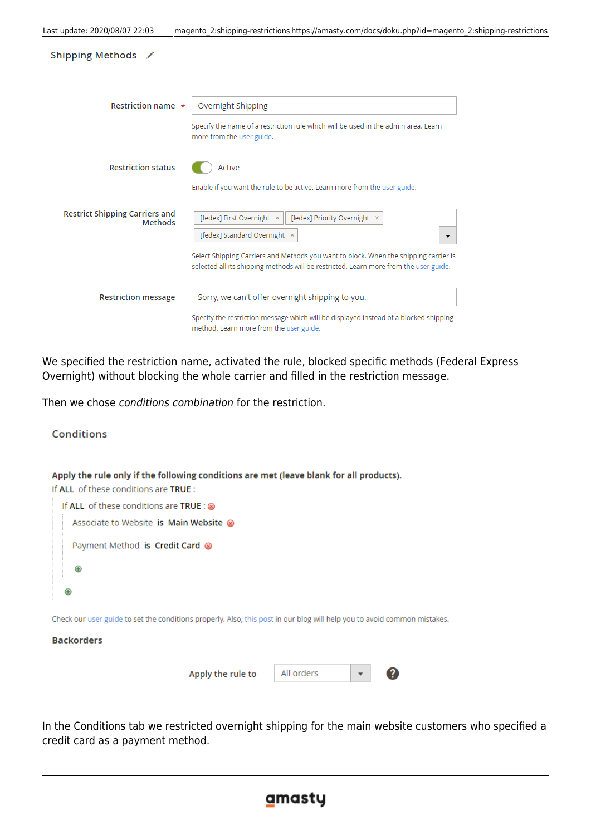| Shipping Methods /                               |                                                                                                                                                                                                                    |
|--------------------------------------------------|--------------------------------------------------------------------------------------------------------------------------------------------------------------------------------------------------------------------|
| Restriction name $\star$                         | Overnight Shipping<br>Specify the name of a restriction rule which will be used in the admin area. Learn                                                                                                           |
| <b>Restriction status</b>                        | more from the user guide.<br>Active                                                                                                                                                                                |
| <b>Restrict Shipping Carriers and</b><br>Methods | Enable if you want the rule to be active. Learn more from the user guide.<br>[fedex] First Overnight ×<br>[fedex] Priority Overnight ×                                                                             |
|                                                  | [fedex] Standard Overnight ×<br>▼<br>Select Shipping Carriers and Methods you want to block. When the shipping carrier is<br>selected all its shipping methods will be restricted. Learn more from the user guide. |
| <b>Restriction message</b>                       | Sorry, we can't offer overnight shipping to you.                                                                                                                                                                   |
|                                                  | Specify the restriction message which will be displayed instead of a blocked shipping<br>method. Learn more from the user guide.                                                                                   |

We specified the restriction name, activated the rule, blocked specific methods (Federal Express Overnight) without blocking the whole carrier and filled in the restriction message.

Then we chose conditions combination for the restriction.



In the Conditions tab we restricted overnight shipping for the main website customers who specified a credit card as a payment method.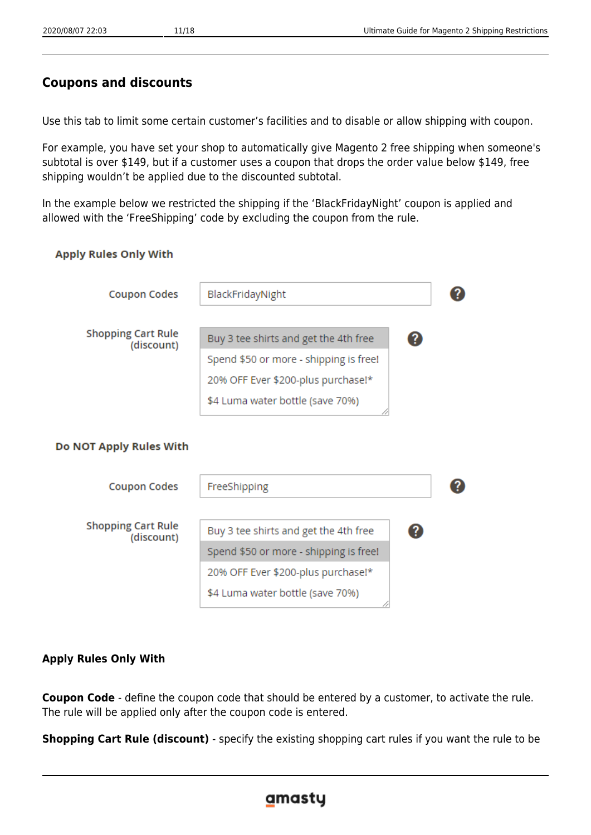# **Coupons and discounts**

Use this tab to limit some certain customer's facilities and to disable or allow shipping with coupon.

For example, you have set your shop to automatically give Magento 2 free shipping when someone's subtotal is over \$149, but if a customer uses a coupon that drops the order value below \$149, free shipping wouldn't be applied due to the discounted subtotal.

In the example below we restricted the shipping if the 'BlackFridayNight' coupon is applied and allowed with the 'FreeShipping' code by excluding the coupon from the rule.

## **Apply Rules Only With**

| <b>Coupon Codes</b>                     | BlackFridayNight                           |  |
|-----------------------------------------|--------------------------------------------|--|
|                                         |                                            |  |
| <b>Shopping Cart Rule</b><br>(discount) | Buy 3 tee shirts and get the 4th free      |  |
|                                         | Spend \$50 or more - shipping is free!     |  |
|                                         | 20% OFF Ever \$200-plus purchase!*         |  |
|                                         | \$4 Luma water bottle (save 70%)           |  |
|                                         |                                            |  |
| Do NOT Apply Rules With                 |                                            |  |
|                                         |                                            |  |
| <b>Coupon Codes</b>                     | FreeShipping                               |  |
|                                         |                                            |  |
| <b>Shopping Cart Rule</b><br>(discount) | Buy 3 tee shirts and get the 4th free<br>? |  |
|                                         | Spend \$50 or more - shipping is free!     |  |
|                                         | 20% OFF Ever \$200-plus purchase!*         |  |
|                                         | \$4 Luma water bottle (save 70%)           |  |
|                                         |                                            |  |

# **Apply Rules Only With**

**Coupon Code** - define the coupon code that should be entered by a customer, to activate the rule. The rule will be applied only after the coupon code is entered.

**Shopping Cart Rule (discount)** - specify the existing shopping cart rules if you want the rule to be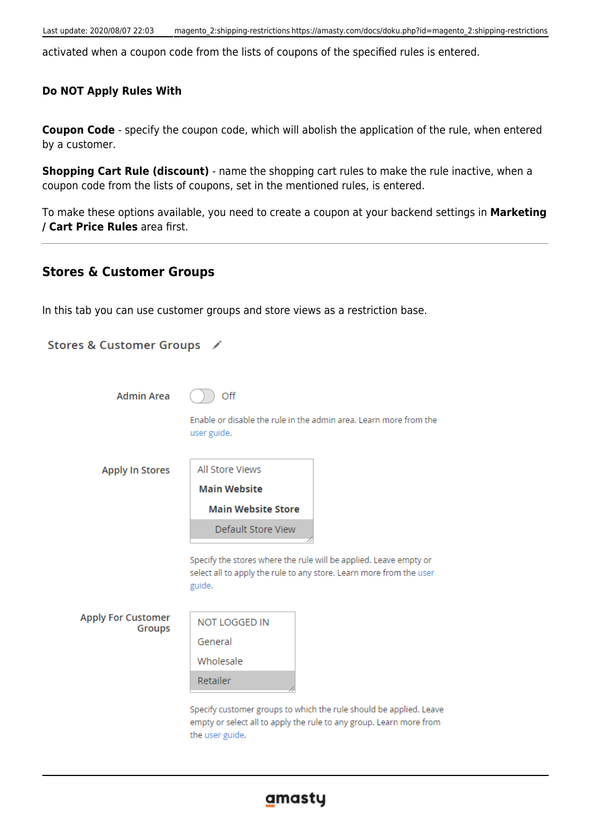activated when a coupon code from the lists of coupons of the specified rules is entered.

# **Do NOT Apply Rules With**

**Coupon Code** - specify the coupon code, which will abolish the application of the rule, when entered by a customer.

**Shopping Cart Rule (discount)** - name the shopping cart rules to make the rule inactive, when a coupon code from the lists of coupons, set in the mentioned rules, is entered.

To make these options available, you need to create a coupon at your backend settings in **Marketing / Cart Price Rules** area first.

# **Stores & Customer Groups**

In this tab you can use customer groups and store views as a restriction base.

| Stores & Customer Groups /          |                           |                                                                                                                                           |
|-------------------------------------|---------------------------|-------------------------------------------------------------------------------------------------------------------------------------------|
| <b>Admin Area</b>                   | Off                       | Enable or disable the rule in the admin area. Learn more from the                                                                         |
|                                     | user guide.               |                                                                                                                                           |
| <b>Apply In Stores</b>              | All Store Views           |                                                                                                                                           |
|                                     | <b>Main Website</b>       |                                                                                                                                           |
|                                     | <b>Main Website Store</b> |                                                                                                                                           |
|                                     | <b>Default Store View</b> |                                                                                                                                           |
|                                     | guide.                    | Specify the stores where the rule will be applied. Leave empty or<br>select all to apply the rule to any store. Learn more from the user  |
| <b>Apply For Customer</b><br>Groups | <b>NOT LOGGED IN</b>      |                                                                                                                                           |
|                                     | General                   |                                                                                                                                           |
|                                     | Wholesale                 |                                                                                                                                           |
|                                     | Retailer                  |                                                                                                                                           |
|                                     | the user guide.           | Specify customer groups to which the rule should be applied. Leave<br>empty or select all to apply the rule to any group. Learn more from |

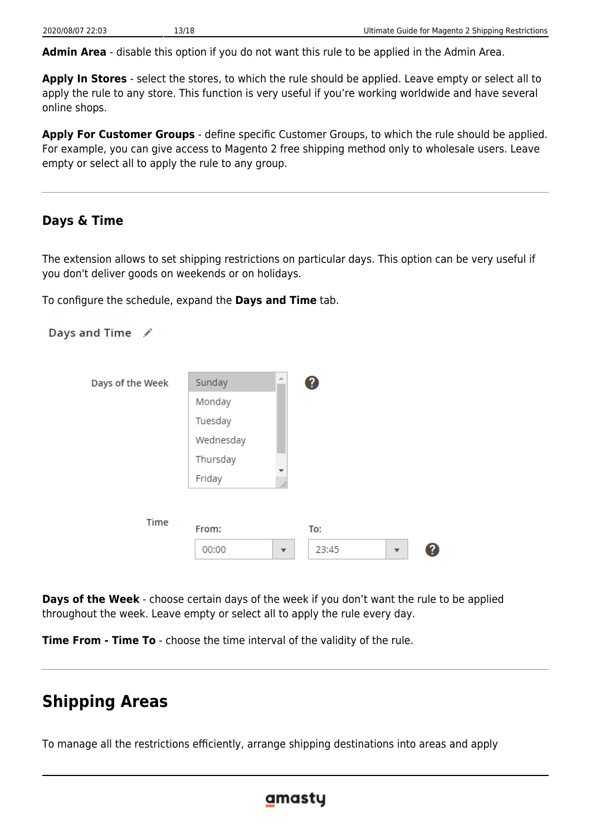**Admin Area** - disable this option if you do not want this rule to be applied in the Admin Area.

**Apply In Stores** - select the stores, to which the rule should be applied. Leave empty or select all to apply the rule to any store. This function is very useful if you're working worldwide and have several online shops.

**Apply For Customer Groups** - define specific Customer Groups, to which the rule should be applied. For example, you can give access to Magento 2 free shipping method only to wholesale users. Leave empty or select all to apply the rule to any group.

# **Days & Time**

The extension allows to set shipping restrictions on particular days. This option can be very useful if you don't deliver goods on weekends or on holidays.

To configure the schedule, expand the **Days and Time** tab.



**Days of the Week** - choose certain days of the week if you don't want the rule to be applied throughout the week. Leave empty or select all to apply the rule every day.

**Time From - Time To** - choose the time interval of the validity of the rule.

# **Shipping Areas**

To manage all the restrictions efficiently, arrange shipping destinations into areas and apply

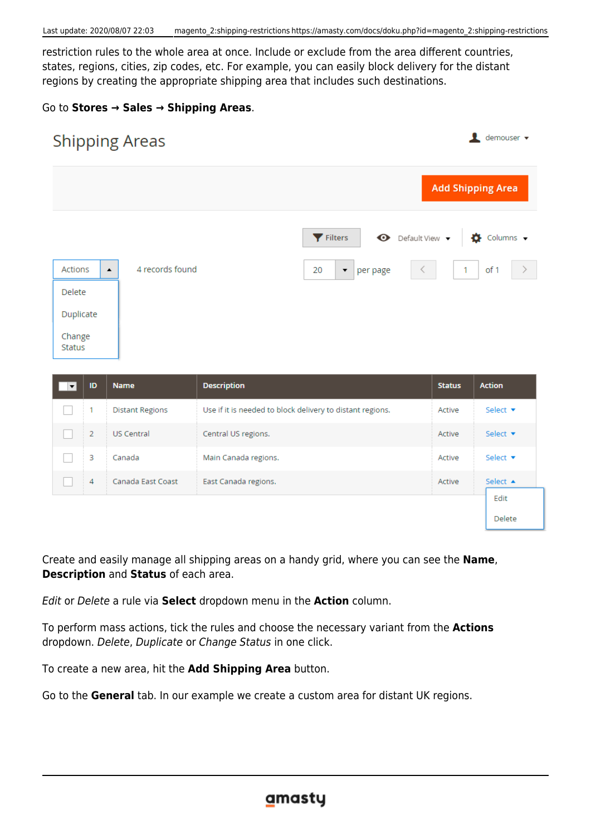restriction rules to the whole area at once. Include or exclude from the area different countries, states, regions, cities, zip codes, etc. For example, you can easily block delivery for the distant regions by creating the appropriate shipping area that includes such destinations.

## Go to **Stores → Sales → Shipping Areas**.

| <b>Shipping Areas</b>                          |                                                           |               | demouser v               |
|------------------------------------------------|-----------------------------------------------------------|---------------|--------------------------|
|                                                |                                                           |               | <b>Add Shipping Area</b> |
|                                                | $\bullet$ Default View $\bullet$<br>Filters               |               | Columns v<br>Ð           |
| 4 records found<br>Actions<br>$\blacktriangle$ | 20<br>per page<br>$\blacktriangledown$                    | 1             | of 1<br>$\rightarrow$    |
| <b>Delete</b>                                  |                                                           |               |                          |
| Duplicate                                      |                                                           |               |                          |
| Change<br><b>Status</b>                        |                                                           |               |                          |
| ID<br><b>Name</b><br>$\overline{\phantom{a}}$  | <b>Description</b>                                        | <b>Status</b> | <b>Action</b>            |
| 1<br><b>Distant Regions</b>                    | Use if it is needed to block delivery to distant regions. | Active        | Select v                 |

| <sup>2</sup> | <b>US Central</b> | Central US regions.  | Active | Select $\blacktriangledown$ |
|--------------|-------------------|----------------------|--------|-----------------------------|
| з            | Canada            | Main Canada regions. | Active | Select $\blacktriangledown$ |
| 4            | Canada East Coast | East Canada regions. | Active | Select $\triangle$          |
|              |                   |                      |        | Edit                        |
|              |                   |                      |        | Delete                      |

Create and easily manage all shipping areas on a handy grid, where you can see the **Name**, **Description** and **Status** of each area.

Edit or Delete a rule via **Select** dropdown menu in the **Action** column.

To perform mass actions, tick the rules and choose the necessary variant from the **Actions** dropdown. Delete, Duplicate or Change Status in one click.

To create a new area, hit the **Add Shipping Area** button.

Go to the **General** tab. In our example we create a custom area for distant UK regions.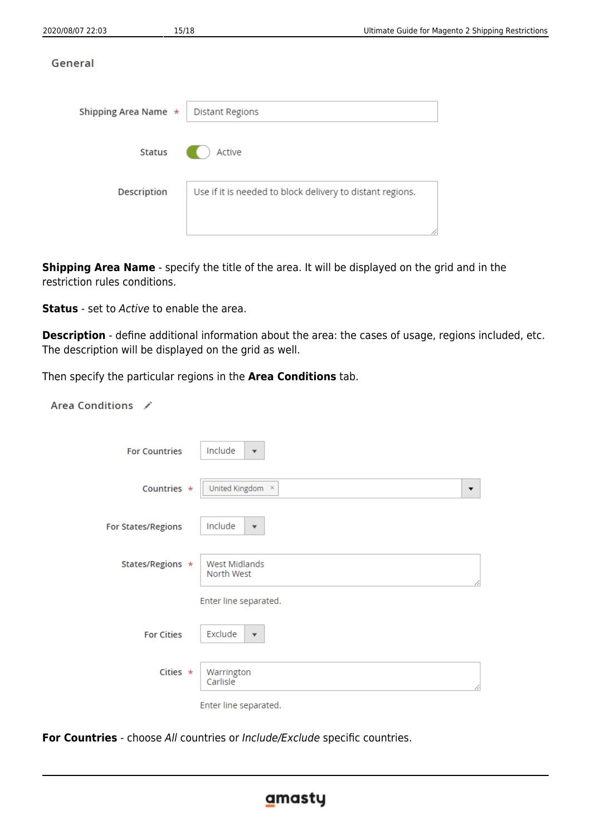| Shipping Area Name * | <b>Distant Regions</b>                                    |  |
|----------------------|-----------------------------------------------------------|--|
| <b>Status</b>        | Active                                                    |  |
| <b>Description</b>   | Use if it is needed to block delivery to distant regions. |  |
|                      |                                                           |  |

**Shipping Area Name** - specify the title of the area. It will be displayed on the grid and in the restriction rules conditions.

**Status** - set to Active to enable the area.

**Description** - define additional information about the area: the cases of usage, regions included, etc. The description will be displayed on the grid as well.

Then specify the particular regions in the **Area Conditions** tab.

| Area Conditions /         |                                    |
|---------------------------|------------------------------------|
| <b>For Countries</b>      | Include<br>$\mathbf{v}$            |
| Countries *               | United Kingdom ×<br>▼              |
| <b>For States/Regions</b> | Include<br>$\overline{\mathbf{v}}$ |
| States/Regions *          | West Midlands<br>North West        |
|                           | Enter line separated.              |
| <b>For Cities</b>         | Exclude<br>$\mathbf{v}$            |
| Cities $\star$            | Warrington<br>Carlisle             |
|                           | Enter line separated.              |

**For Countries** - choose All countries or Include/Exclude specific countries.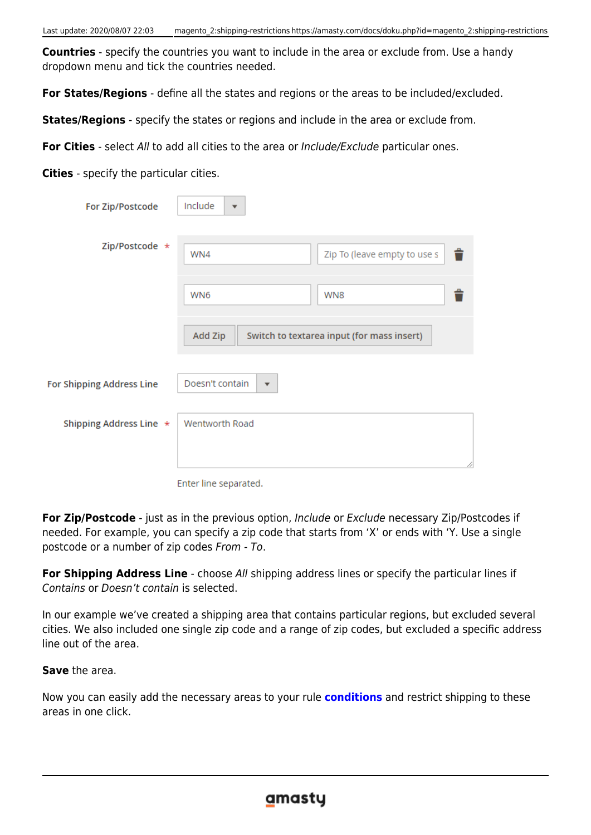**Countries** - specify the countries you want to include in the area or exclude from. Use a handy dropdown menu and tick the countries needed.

**For States/Regions** - define all the states and regions or the areas to be included/excluded.

**States/Regions** - specify the states or regions and include in the area or exclude from.

**For Cities** - select All to add all cities to the area or Include/Exclude particular ones.

**Cities** - specify the particular cities.

| For Zip/Postcode         | Include<br>$\overline{\mathbf{v}}$         |                                            |
|--------------------------|--------------------------------------------|--------------------------------------------|
| Zip/Postcode *           | WN4                                        | Zip To (leave empty to use s<br>û          |
|                          | WN6                                        | WN <sub>8</sub>                            |
|                          | Add Zip                                    | Switch to textarea input (for mass insert) |
| or Shipping Address Line | Doesn't contain<br>$\overline{\mathbf{v}}$ |                                            |
| Shipping Address Line *  | Wentworth Road                             |                                            |
|                          |                                            |                                            |

Enter line separated.

**For Zip/Postcode** - just as in the previous option, Include or Exclude necessary Zip/Postcodes if needed. For example, you can specify a zip code that starts from 'X' or ends with 'Y. Use a single postcode or a number of zip codes From - To.

**For Shipping Address Line** - choose All shipping address lines or specify the particular lines if Contains or Doesn't contain is selected.

In our example we've created a shipping area that contains particular regions, but excluded several cities. We also included one single zip code and a range of zip codes, but excluded a specific address line out of the area.

**Save** the area.

Ï

Now you can easily add the necessary areas to your rule **[conditions](https://amasty.com/docs/doku.php?id=magento_2:shipping-restrictions#conditions)** and restrict shipping to these areas in one click.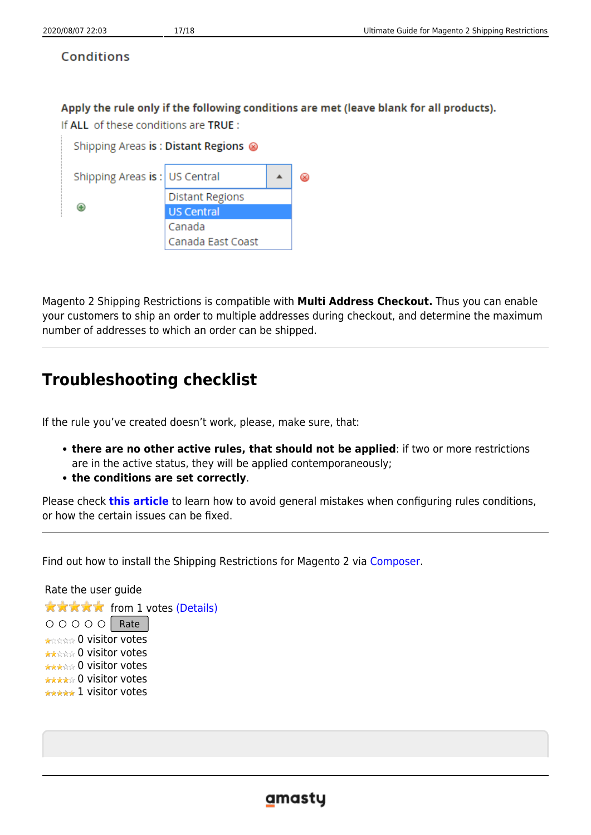# **Conditions**

# Apply the rule only if the following conditions are met (leave blank for all products).

If ALL of these conditions are TRUE :

| Shipping Areas is: Distant Regions @ |                        |  |  |
|--------------------------------------|------------------------|--|--|
| Shipping Areas is:   US Central      |                        |  |  |
|                                      | <b>Distant Regions</b> |  |  |
|                                      | <b>US Central</b>      |  |  |
|                                      | Canada                 |  |  |
|                                      | Canada East Coast      |  |  |

Magento 2 Shipping Restrictions is compatible with **Multi Address Checkout.** Thus you can enable your customers to ship an order to multiple addresses during checkout, and determine the maximum number of addresses to which an order can be shipped.

# **Troubleshooting checklist**

If the rule you've created doesn't work, please, make sure, that:

- **there are no other active rules, that should not be applied**: if two or more restrictions are in the active status, they will be applied contemporaneously;
- **the conditions are set correctly**.

Please check **[this article](https://blog.amasty.com/use-magento-rules-properly-common-mistakes-corrected/)** to learn how to avoid general mistakes when configuring rules conditions, or how the certain issues can be fixed.

Find out how to install the Shipping Restrictions for Magento 2 via [Composer](https://amasty.com/docs/doku.php?id=magento_2:composer_user_guide).

Rate the user guide **★★★★★** from 1 votes [\(Details\)](#rateanker_4044305f2dcf9862bd29.43697319)  $\circ \circ \circ \circ$  Rate 0 visitor votes \*\*\*\*\* 0 visitor votes \*\*\*\*\* 0 visitor votes \*\*\*\*\* 0 visitor votes \*\*\*\*\* 1 visitor votes